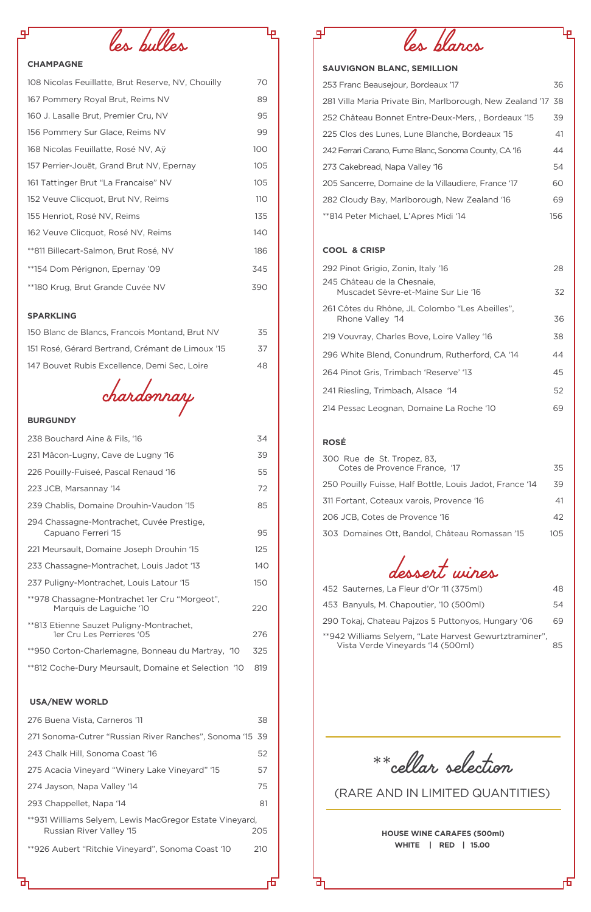*les bulles*

# **CHAMPAGNE**

சு

| 108 Nicolas Feuillatte, Brut Reserve, NV, Chouilly | 70  |
|----------------------------------------------------|-----|
| 167 Pommery Royal Brut, Reims NV                   | 89  |
| 160 J. Lasalle Brut, Premier Cru, NV               | 95  |
| 156 Pommery Sur Glace, Reims NV                    | 99  |
| 168 Nicolas Feuillatte, Rosé NV, Aÿ                | 100 |
| 157 Perrier-Jouët, Grand Brut NV, Epernay          | 105 |
| 161 Tattinger Brut "La Francaise" NV               | 105 |
| 152 Veuve Clicquot, Brut NV, Reims                 | 110 |
| 155 Henriot, Rosé NV, Reims                        | 135 |
| 162 Veuve Clicquot, Rosé NV, Reims                 | 140 |
| **811 Billecart-Salmon, Brut Rosé, NV              | 186 |
| **154 Dom Pérignon, Epernay '09                    | 345 |
| **180 Krug, Brut Grande Cuvée NV                   | 390 |

# **SPARKLING**

| 150 Blanc de Blancs, Francois Montand, Brut NV   | 35 |
|--------------------------------------------------|----|
| 151 Rosé, Gérard Bertrand, Crémant de Limoux '15 | 37 |
| 147 Bouvet Rubis Excellence, Demi Sec, Loire     | 48 |

*chardonnay*

### **BURGUNDY**

| 231 Mâcon-Lugny, Cave de Lugny '16                                                  | 39  |
|-------------------------------------------------------------------------------------|-----|
| 226 Pouilly-Fuiseé, Pascal Renaud '16                                               | 55  |
| 223 JCB, Marsannay '14                                                              | 72  |
| 239 Chablis, Domaine Drouhin-Vaudon '15                                             | 85  |
| 294 Chassagne-Montrachet, Cuvée Prestige,<br>Capuano Ferreri '15                    | 95  |
| 221 Meursault, Domaine Joseph Drouhin '15                                           | 125 |
| 233 Chassagne-Montrachet, Louis Jadot '13                                           | 140 |
| 237 Puligny-Montrachet, Louis Latour '15                                            | 150 |
| **978 Chassagne-Montrachet 1er Cru "Morgeot",<br>Marquis de Laguiche '10            | 220 |
| **813 Etienne Sauzet Puligny-Montrachet,<br>1er Cru Les Perrieres '05               | 276 |
| **950 Corton-Charlemagne, Bonneau du Martray, '10                                   | 325 |
| **812 Coche-Dury Meursault, Domaine et Selection '10                                | 819 |
| <b>USA/NEW WORLD</b>                                                                |     |
| 276 Buena Vista, Carneros '11                                                       | 38  |
| 271 Sonoma-Cutrer "Russian River Ranches", Sonoma '15 39                            |     |
| 243 Chalk Hill, Sonoma Coast '16                                                    | 52  |
| 275 Acacia Vineyard "Winery Lake Vineyard" '15                                      | 57  |
| 274 Jayson, Napa Valley '14                                                         | 75  |
| 293 Chappellet, Napa '14                                                            | 81  |
| **931 Williams Selyem, Lewis MacGregor Estate Vineyard,<br>Russian River Valley '15 | 205 |
| **926 Aubert "Ritchie Vineyard", Sonoma Coast '10                                   | 210 |
| гh                                                                                  |     |



Ļρ

# **SAUVIGNON BLANC, SEMILLION**

| 253 Franc Beausejour, Bordeaux '17                           | 36  |
|--------------------------------------------------------------|-----|
| 281 Villa Maria Private Bin, Marlborough, New Zealand '17 38 |     |
| 252 Château Bonnet Entre-Deux-Mers,, Bordeaux '15            | 39  |
| 225 Clos des Lunes, Lune Blanche, Bordeaux '15               | 41  |
| 242 Ferrari Carano, Fume Blanc, Sonoma County, CA '16        | 44  |
| 273 Cakebread, Napa Valley '16                               | 54  |
| 205 Sancerre, Domaine de la Villaudiere, France '17          | 60  |
| 282 Cloudy Bay, Marlborough, New Zealand '16                 | 69  |
| **814 Peter Michael, L'Apres Midi '14                        | 156 |

# **COOL & CRISP**

டிர

Ļр.

| 292 Pinot Grigio, Zonin, Italy '16                                 | 28  |
|--------------------------------------------------------------------|-----|
| 245 Château de la Chesnaie,<br>Muscadet Sèvre-et-Maine Sur Lie '16 | 32. |
| 261 Côtes du Rhône, JL Colombo "Les Abeilles",<br>Rhone Valley '14 | 36  |
| 219 Vouvray, Charles Bove, Loire Valley '16                        | 38  |
| 296 White Blend, Conundrum, Rutherford, CA '14                     | 44  |
| 264 Pinot Gris, Trimbach 'Reserve' '13                             | 45  |
| 241 Riesling, Trimbach, Alsace '14                                 | 52  |
| 214 Pessac Leognan, Domaine La Roche '10                           | 69. |

# **ROSÉ**

| 300 Rue de St. Tropez, 83,<br>Cotes de Provence France, '17 | 35   |
|-------------------------------------------------------------|------|
| 250 Pouilly Fuisse, Half Bottle, Louis Jadot, France '14    | 39   |
| 311 Fortant, Coteaux varois, Provence '16                   | 41   |
| 206 JCB, Cotes de Provence '16                              | 42   |
| 303 Domaines Ott, Bandol, Château Romassan '15              | 105. |



| 452 Sauternes, La Fleur d'Or '11 (375ml)                                                    | 48. |
|---------------------------------------------------------------------------------------------|-----|
| 453 Banyuls, M. Chapoutier, '10 (500ml)                                                     | 54  |
| 290 Tokaj, Chateau Pajzos 5 Puttonyos, Hungary '06                                          | 69. |
| **942 Williams Selyem, "Late Harvest Gewurtztraminer",<br>Vista Verde Vineyards '14 (500ml) | Я5  |

\*\**cellar selection*

# (RARE AND IN LIMITED QUANTITIES)

**HOUSE WINE CARAFES (500ml) WHITE | RED | 15.00**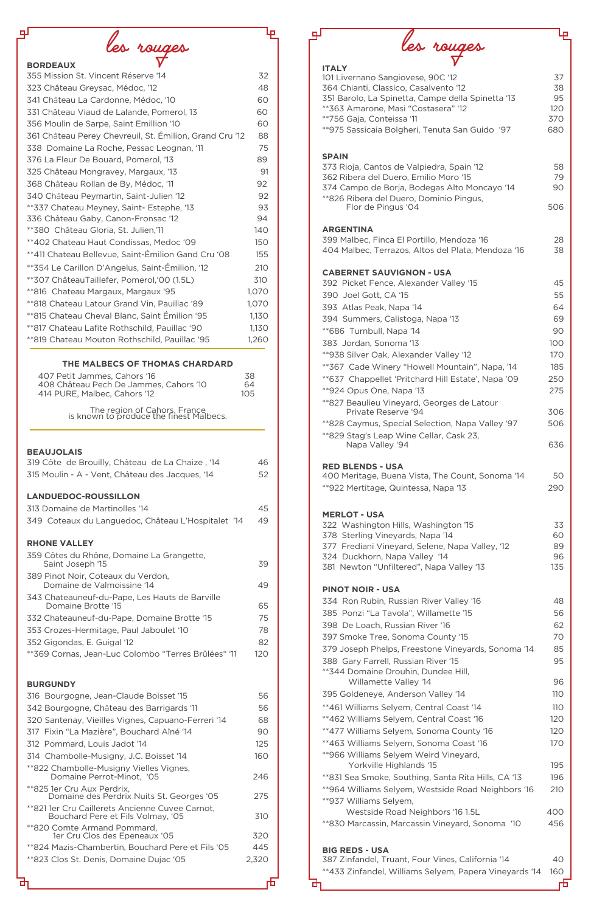*les rouges* **BORDEAUX**

| 355 Mission St. Vincent Réserve '14                     | 32    |
|---------------------------------------------------------|-------|
| 323 Château Greysac, Médoc, '12                         | 48    |
| 341 Château La Cardonne, Médoc, '10                     | 60    |
| 331 Château Viaud de Lalande, Pomerol, 13               | 60    |
| 356 Moulin de Sarpe, Saint Emillion '10                 | 60    |
| 361 Château Perey Chevreuil, St. Émilion, Grand Cru '12 | 88    |
| 338 Domaine La Roche, Pessac Leognan, '11               | 75    |
| 376 La Fleur De Bouard, Pomerol, '13                    | 89    |
| 325 Château Mongravey, Margaux, '13                     | 91    |
| 368 Château Rollan de By, Médoc, '11                    | 92    |
| 340 Château Peymartin, Saint-Julien '12                 | 92    |
| **337 Chateau Meyney, Saint- Estephe, '13               | 93    |
| 336 Château Gaby, Canon-Fronsac '12                     | 94    |
| **380 Château Gloria, St. Julien,'11                    | 140   |
| **402 Chateau Haut Condissas, Medoc '09                 | 150   |
| **411 Chateau Bellevue, Saint-Émilion Gand Cru '08      | 155   |
| **354 Le Carillon D'Angelus, Saint-Émilion, '12         | 210   |
| **307 ChâteauTaillefer, Pomerol,'00 (1.5L)              | 310   |
| **816 Chateau Margaux, Margaux '95                      | 1,070 |
| **818 Chateau Latour Grand Vin, Pauillac '89            | 1,070 |
| **815 Chateau Cheval Blanc, Saint Émilion '95           | 1,130 |
| **817 Chateau Lafite Rothschild, Pauillac '90           | 1,130 |
| **819 Chateau Mouton Rothschild, Pauillac '95           | 1,260 |

## **BEAUJOLAIS**

| <b>SPAIN</b>                                                                     |            |
|----------------------------------------------------------------------------------|------------|
| 373 Rioja, Cantos de Valpiedra, Spain '12                                        | 58         |
| 362 Ribera del Duero, Emilio Moro '15                                            | 79         |
| 374 Campo de Borja, Bodegas Alto Moncayo '14                                     | 90         |
| **826 Ribera del Duero, Dominio Pingus,                                          |            |
| Flor de Pingus '04                                                               | 506        |
| <b>ARGENTINA</b>                                                                 |            |
| 399 Malbec, Finca El Portillo, Mendoza '16                                       | 28         |
| 404 Malbec, Terrazos, Altos del Plata, Mendoza '16                               | 38         |
|                                                                                  |            |
| <b>CABERNET SAUVIGNON - USA</b>                                                  |            |
| 392 Picket Fence, Alexander Valley '15                                           | 45         |
| 390 Joel Gott, CA '15                                                            | 55         |
| 393 Atlas Peak, Napa '14                                                         | 64         |
| 394 Summers, Calistoga, Napa '13                                                 | 69         |
| **686 Turnbull, Napa '14                                                         | 90         |
| 383 Jordan, Sonoma '13                                                           | 100        |
| **938 Silver Oak, Alexander Valley '12                                           | 170        |
| **367 Cade Winery "Howell Mountain", Napa, '14                                   | 185        |
| **637 Chappellet 'Pritchard Hill Estate', Napa '09                               | 250        |
| **924 Opus One, Napa '13                                                         | 275        |
| **827 Beaulieu Vineyard, Georges de Latour                                       |            |
| Private Reserve '94                                                              | 306        |
| **828 Caymus, Special Selection, Napa Valley '97                                 | 506        |
| **829 Stag's Leap Wine Cellar, Cask 23,                                          |            |
| Napa Valley '94                                                                  | 636        |
|                                                                                  |            |
| <b>RED BLENDS - USA</b>                                                          | 50         |
| 400 Meritage, Buena Vista, The Count, Sonoma '14                                 |            |
| **922 Mertitage, Quintessa, Napa '13                                             | 290        |
|                                                                                  |            |
| <b>MERLOT - USA</b>                                                              |            |
| 322 Washington Hills, Washington '15                                             | 33         |
| 378 Sterling Vineyards, Napa '14                                                 | 60<br>89   |
| 377 Frediani Vineyard, Selene, Napa Valley, '12<br>324 Duckhorn, Napa Valley '14 | 96         |
| 381 Newton "Unfiltered", Napa Valley '13                                         | 135        |
|                                                                                  |            |
| <b>PINOT NOIR - USA</b>                                                          |            |
| 334 Ron Rubin, Russian River Valley '16                                          | 48         |
| 385 Ponzi "La Tavola", Willamette '15                                            | 56         |
| 398 De Loach, Russian River '16                                                  | 62         |
| 397 Smoke Tree, Sonoma County '15                                                | 70         |
| 379 Joseph Phelps, Freestone Vineyards, Sonoma '14                               | 85         |
| 388 Gary Farrell, Russian River '15                                              | 95         |
| ** 344 Domaine Drouhin, Dundee Hill,                                             |            |
| Willamette Valley '14                                                            | 96         |
| 395 Goldeneye, Anderson Valley '14                                               | <b>110</b> |
| **461 Williams Selyem, Central Coast '14                                         | 110        |
| **462 Williams Selyem, Central Coast '16                                         | 120        |
|                                                                                  |            |
| **477 Williams Selyem, Sonoma County '16                                         | 120        |
| **463 Williams Selyem, Sonoma Coast '16                                          | 170        |
| **966 Williams Selyem Weird Vineyard,                                            |            |
| Yorkville Highlands '15                                                          | 195        |
| **831 Sea Smoke, Southing, Santa Rita Hills, CA '13                              | 196        |
| **964 Williams Selyem, Westside Road Neighbors '16                               | 210        |
| **937 Williams Selyem,                                                           |            |
| Westside Road Neighbors '16 1.5L                                                 | 400        |
| **830 Marcassin, Marcassin Vineyard, Sonoma '10                                  | 456        |
|                                                                                  |            |
| <b>BIG REDS - USA</b>                                                            |            |
| 387 Zinfandel, Truant, Four Vines, California '14                                | 40         |
| **433 Zinfandel, Williams Selyem, Papera Vineyards '14                           | 160        |
|                                                                                  | Ь          |

| 319 Côte de Brouilly, Château de La Chaize, '14                      | 46  |
|----------------------------------------------------------------------|-----|
| 315 Moulin - A - Vent, Château des Jacques, '14                      | 52  |
| <b>LANDUEDOC-ROUSSILLON</b>                                          |     |
| 313 Domaine de Martinolles '14                                       | 45  |
| 349 Coteaux du Languedoc, Château L'Hospitalet '14                   | 49  |
| <b>RHONE VALLEY</b>                                                  |     |
| 359 Côtes du Rhône, Domaine La Grangette,<br>Saint Joseph '15        | 39  |
| 389 Pinot Noir, Coteaux du Verdon,<br>Domaine de Valmoissine '14     | 49  |
| 343 Chateauneuf-du-Pape, Les Hauts de Barville<br>Domaine Brotte '15 | 65  |
| 332 Chateauneuf-du-Pape, Domaine Brotte '15                          | 75  |
| 353 Crozes-Hermitage, Paul Jaboulet '10                              | 78  |
| 352 Gigondas, E. Guigal '12                                          | 82  |
| **369 Cornas, Jean-Luc Colombo "Terres Brûlées" '11                  | 120 |

# **BURGUNDY**

面

| 316 Bourgogne, Jean-Claude Boisset '15                                               | 56    |
|--------------------------------------------------------------------------------------|-------|
| 342 Bourgogne, Château des Barrigards '11                                            | 56    |
| 320 Santenay, Vieilles Vignes, Capuano-Ferreri '14                                   | 68    |
| 317 Fixin "La Mazière", Bouchard Aîné '14                                            | 90    |
| 312 Pommard, Louis Jadot '14                                                         | 125   |
| 314 Chambolle-Musigny, J.C. Boisset '14                                              | 160   |
| **822 Chambolle-Musigny Vielles Vignes,<br>Domaine Perrot-Minot, '05                 | 246   |
| **825 1er Cru Aux Perdrix,<br>Domaine des Perdrix Nuits St. Georges '05              | 275   |
| **821 1er Cru Caillerets Ancienne Cuvee Carnot,<br>Bouchard Pere et Fils Volmay, '05 | 310   |
| **820 Comte Armand Pommard,<br>1er Cru Clos des Epeneaux '05                         | 320   |
| **824 Mazis-Chambertin, Bouchard Pere et Fils '05                                    | 445   |
| **823 Clos St. Denis, Domaine Dujac '05                                              | 2,320 |
|                                                                                      |       |

襾

*les rouges*

4

### **ITALY**

பி

℡

| 101 Livernano Sangiovese, 90C '12                 | 37   |
|---------------------------------------------------|------|
| 364 Chianti, Classico, Casalvento '12             | 38   |
| 351 Barolo, La Spinetta, Campe della Spinetta '13 | 95   |
| **363 Amarone, Masi "Costasera" '12               | 12 O |
| **756 Gaja, Conteissa '11                         | 370  |
| **975 Sassicaia Bolgheri, Tenuta San Guido '97    | 680  |
|                                                   |      |
|                                                   |      |

# **THE MALBECS OF THOMAS CHARDARD**

| 407 Petit Jammes, Cahors '16           | 38  |
|----------------------------------------|-----|
| 408 Château Pech De Jammes, Cahors '10 | 64  |
| 414 PURE, Malbec, Cahors '12           | 105 |
|                                        |     |

The region of Cahors, France is known to produce the finest Malbecs.